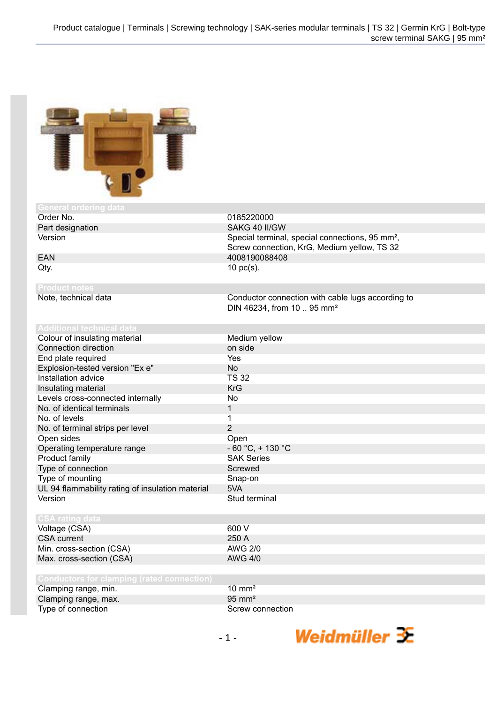

## **General ordering data**<br>**Order No.**

## **Product notes**

## **Additional technical data**

0185220000 Part designation SAKG 40 II/GW Version Special terminal, special connections, 95 mm<sup>2</sup>, Screw connection, KrG, Medium yellow, TS 32 EAN 4008190088408  $Qty.$  10 pc(s).

> Conductor connection with cable lugs according to DIN 46234, from 10 .. 95 mm²

| Colour of insulating material                    | Medium yellow        |
|--------------------------------------------------|----------------------|
| Connection direction                             | on side              |
| End plate required                               | Yes                  |
| Explosion-tested version "Ex e"                  | No.                  |
| Installation advice                              | <b>TS 32</b>         |
| Insulating material                              | <b>KrG</b>           |
| Levels cross-connected internally                | No                   |
| No. of identical terminals                       | 1                    |
| No. of levels                                    | 1                    |
| No. of terminal strips per level                 | 2                    |
| Open sides                                       | Open                 |
| Operating temperature range                      | $-60 °C$ , $+130 °C$ |
| Product family                                   | <b>SAK Series</b>    |
| Type of connection                               | Screwed              |
| Type of mounting                                 | Snap-on              |
| UL 94 flammability rating of insulation material | 5VA                  |
| Version                                          | Stud terminal        |
|                                                  |                      |
| <b>CSA rating data</b>                           |                      |
| Voltage (CSA)                                    | 600 V                |
| <b>CSA current</b>                               | 250 A                |
| Min. cross-section (CSA)                         | <b>AWG 2/0</b>       |
| Max. cross-section (CSA)                         | <b>AWG 4/0</b>       |
|                                                  |                      |
| Conductors for clamping (rated connection)       |                      |

| Clamping range, min. | $10 \text{ mm}^2$ |
|----------------------|-------------------|
| Clamping range, max. | $95 \text{ mm}^2$ |
| Type of connection   | Screw connection  |

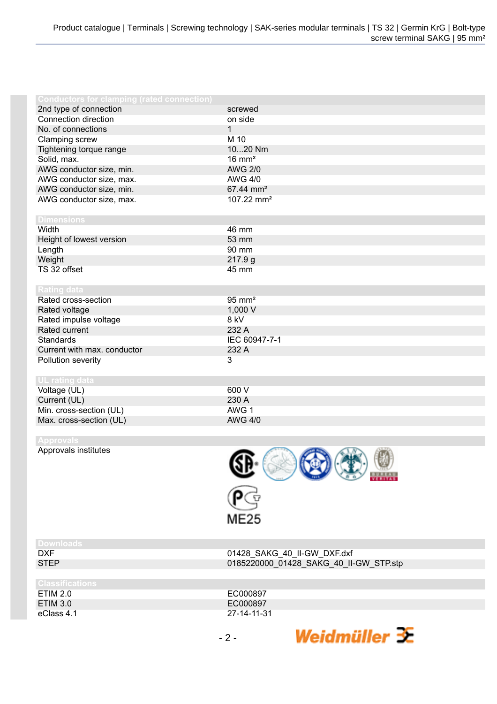| <b>Conductors for clamping (rated connection)</b> |                        |
|---------------------------------------------------|------------------------|
| 2nd type of connection                            | screwed                |
| Connection direction                              | on side                |
| No. of connections                                | $\mathbf{1}$           |
| Clamping screw                                    | M 10                   |
| Tightening torque range                           | 1020 Nm                |
| Solid, max.                                       | $16 \text{ mm}^2$      |
| AWG conductor size, min.                          | <b>AWG 2/0</b>         |
| AWG conductor size, max.                          | <b>AWG 4/0</b>         |
| AWG conductor size, min.                          | 67.44 mm <sup>2</sup>  |
| AWG conductor size, max.                          | 107.22 mm <sup>2</sup> |
|                                                   |                        |
| <b>Dimensions</b>                                 |                        |
| Width                                             | 46 mm                  |
| Height of lowest version                          | 53 mm                  |
| Length                                            | 90 mm                  |
| Weight                                            | 217.9g                 |
| TS 32 offset                                      | 45 mm                  |
|                                                   |                        |
| <b>Rating data</b>                                |                        |
| Rated cross-section                               | $95 \text{ mm}^2$      |
| Rated voltage                                     | 1,000 V                |
| Rated impulse voltage                             | 8 kV                   |
| Rated current                                     | 232 A                  |
| <b>Standards</b>                                  | IEC 60947-7-1          |
| Current with max. conductor                       | 232 A                  |
| Pollution severity                                | 3                      |
|                                                   |                        |
| <b>UL rating data</b>                             |                        |
| Voltage (UL)                                      | 600 V                  |
| Current (UL)                                      | 230 A                  |
| Min. cross-section (UL)                           | AWG 1                  |
| Max. cross-section (UL)                           | <b>AWG 4/0</b>         |
|                                                   |                        |
| <b>Approvals</b>                                  |                        |

Approvals institutes



Weidmüller  $\mathbf{\mathbf{\mathbf{\mathbb{K}}}}$ 

| <b>Downloads</b>       |                                        |
|------------------------|----------------------------------------|
| DXF                    | 01428_SAKG_40_II-GW_DXF.dxf            |
| <b>STEP</b>            | 0185220000_01428_SAKG_40_II-GW_STP.stp |
|                        |                                        |
| <b>Classifications</b> |                                        |
| ETIM 2.0               | EC000897                               |
| <b>ETIM 3.0</b>        | EC000897                               |
| eClass 4.1             | 27-14-11-31                            |